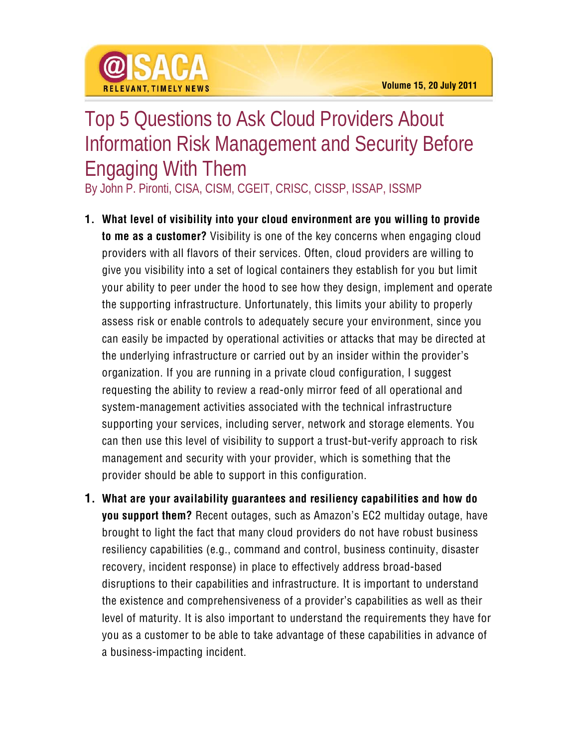## Top 5 Questions to Ask Cloud Providers About Information Risk Management and Security Before Engaging With Them

By John P. Pironti, CISA, CISM, CGEIT, CRISC, CISSP, ISSAP, ISSMP

@ISACA

**RELEVANT TIMELY NEWS** 

- **1. What level of visibility into your cloud environment are you willing to provide to me as a customer?** Visibility is one of the key concerns when engaging cloud providers with all flavors of their services. Often, cloud providers are willing to give you visibility into a set of logical containers they establish for you but limit your ability to peer under the hood to see how they design, implement and operate the supporting infrastructure. Unfortunately, this limits your ability to properly assess risk or enable controls to adequately secure your environment, since you can easily be impacted by operational activities or attacks that may be directed at the underlying infrastructure or carried out by an insider within the provider's organization. If you are running in a private cloud configuration, I suggest requesting the ability to review a read-only mirror feed of all operational and system-management activities associated with the technical infrastructure supporting your services, including server, network and storage elements. You can then use this level of visibility to support a trust-but-verify approach to risk management and security with your provider, which is something that the provider should be able to support in this configuration.
- **1. What are your availability guarantees and resiliency capabilities and how do you support them?** Recent outages, such as Amazon's EC2 multiday outage, have brought to light the fact that many cloud providers do not have robust business resiliency capabilities (e.g., command and control, business continuity, disaster recovery, incident response) in place to effectively address broad-based disruptions to their capabilities and infrastructure. It is important to understand the existence and comprehensiveness of a provider's capabilities as well as their level of maturity. It is also important to understand the requirements they have for you as a customer to be able to take advantage of these capabilities in advance of a business-impacting incident.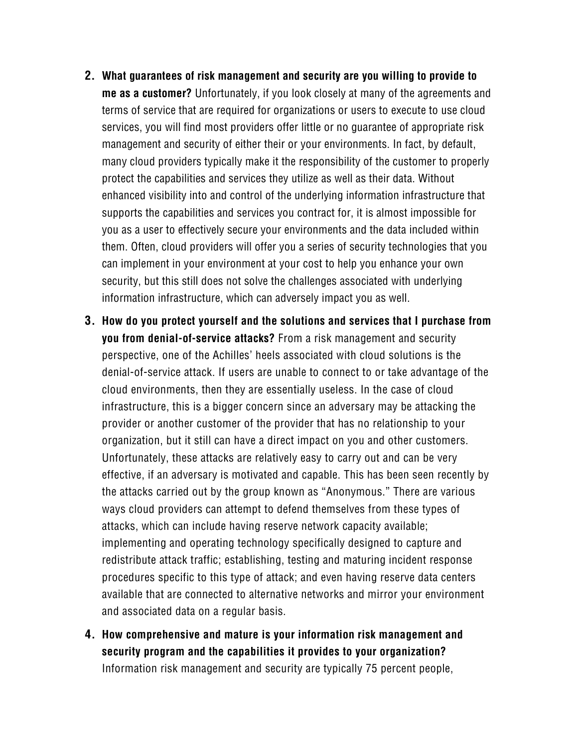- **2. What guarantees of risk management and security are you willing to provide to me as a customer?** Unfortunately, if you look closely at many of the agreements and terms of service that are required for organizations or users to execute to use cloud services, you will find most providers offer little or no guarantee of appropriate risk management and security of either their or your environments. In fact, by default, many cloud providers typically make it the responsibility of the customer to properly protect the capabilities and services they utilize as well as their data. Without enhanced visibility into and control of the underlying information infrastructure that supports the capabilities and services you contract for, it is almost impossible for you as a user to effectively secure your environments and the data included within them. Often, cloud providers will offer you a series of security technologies that you can implement in your environment at your cost to help you enhance your own security, but this still does not solve the challenges associated with underlying information infrastructure, which can adversely impact you as well.
- **3. How do you protect yourself and the solutions and services that I purchase from you from denial-of-service attacks?** From a risk management and security perspective, one of the Achilles' heels associated with cloud solutions is the denial-of-service attack. If users are unable to connect to or take advantage of the cloud environments, then they are essentially useless. In the case of cloud infrastructure, this is a bigger concern since an adversary may be attacking the provider or another customer of the provider that has no relationship to your organization, but it still can have a direct impact on you and other customers. Unfortunately, these attacks are relatively easy to carry out and can be very effective, if an adversary is motivated and capable. This has been seen recently by the attacks carried out by the group known as "Anonymous." There are various ways cloud providers can attempt to defend themselves from these types of attacks, which can include having reserve network capacity available; implementing and operating technology specifically designed to capture and redistribute attack traffic; establishing, testing and maturing incident response procedures specific to this type of attack; and even having reserve data centers available that are connected to alternative networks and mirror your environment and associated data on a regular basis.
- **4. How comprehensive and mature is your information risk management and security program and the capabilities it provides to your organization?** Information risk management and security are typically 75 percent people,